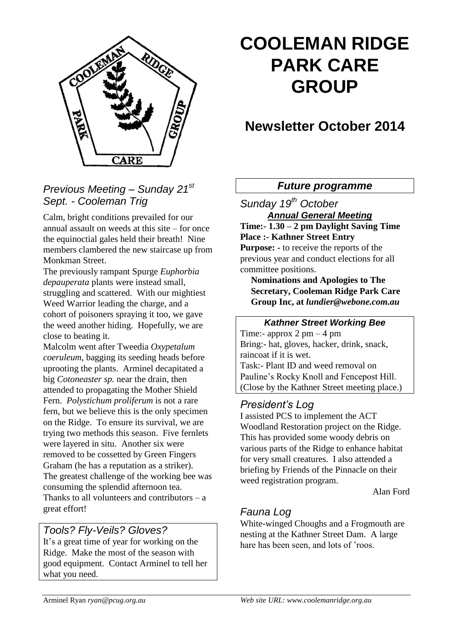

# **COOLEMAN RIDGE PARK CARE GROUP**

## **Newsletter October 2014**

### *Previous Meeting – Sunday 21st Sept. - Cooleman Trig*

Calm, bright conditions prevailed for our annual assault on weeds at this site – for once the equinoctial gales held their breath! Nine members clambered the new staircase up from Monkman Street.

The previously rampant Spurge *Euphorbia depauperata* plants were instead small, struggling and scattered. With our mightiest Weed Warrior leading the charge, and a cohort of poisoners spraying it too, we gave the weed another hiding. Hopefully, we are close to beating it.

Malcolm went after Tweedia *Oxypetalum coeruleum*, bagging its seeding heads before uprooting the plants. Arminel decapitated a big *Cotoneaster sp.* near the drain, then attended to propagating the Mother Shield Fern. *Polystichum proliferum* is not a rare fern, but we believe this is the only specimen on the Ridge. To ensure its survival, we are trying two methods this season. Five fernlets were layered in situ. Another six were removed to be cossetted by Green Fingers Graham (he has a reputation as a striker). The greatest challenge of the working bee was consuming the splendid afternoon tea. Thanks to all volunteers and contributors  $-$  a great effort!

#### *Tools? Fly-Veils? Gloves?*

It's a great time of year for working on the Ridge. Make the most of the season with good equipment. Contact Arminel to tell her what you need.

#### *Future programme*

*Sunday 19th October Annual General Meeting* **Time:- 1.30 – 2 pm Daylight Saving Time Place :- Kathner Street Entry Purpose: -** to receive the reports of the previous year and conduct elections for all committee positions.

**Nominations and Apologies to The Secretary, Cooleman Ridge Park Care Group Inc, at** *lundier@webone.com.au*

## *Kathner Street Working Bee*

Time:- approx  $2 \text{ pm} - 4 \text{ pm}$ Bring:- hat, gloves, hacker, drink, snack, raincoat if it is wet. Task:- Plant ID and weed removal on Pauline's Rocky Knoll and Fencepost Hill. (Close by the Kathner Street meeting place.)

#### *President's Log*

I assisted PCS to implement the ACT Woodland Restoration project on the Ridge. This has provided some woody debris on various parts of the Ridge to enhance habitat for very small creatures. I also attended a briefing by Friends of the Pinnacle on their weed registration program.

Alan Ford

## *Fauna Log*

White-winged Choughs and a Frogmouth are nesting at the Kathner Street Dam. A large hare has been seen, and lots of 'roos.